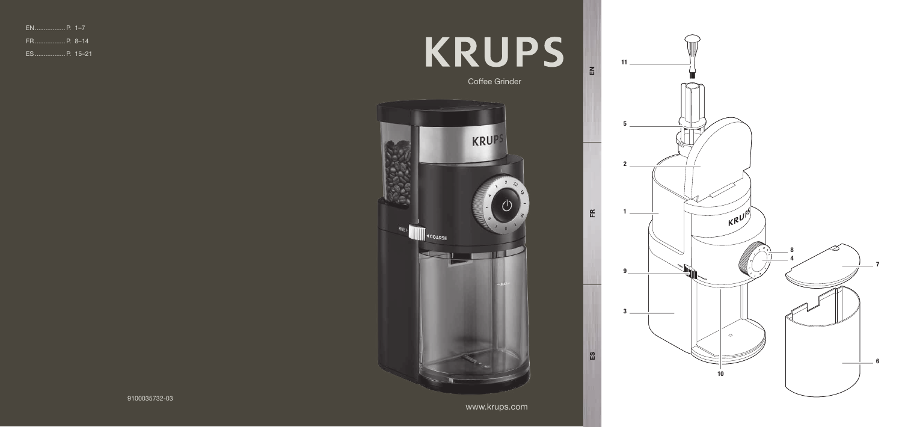www.krups.com





5<br>2<br>1

-5

 $11$ 

 $EN$ 

 $\mathop{\mathbb{E}}$ 

 $\mathbb{E}$ 

1193<br> $\frac{1}{3}$ 

9

 $\overline{3}$ 

9100035732-03

| FR P. 8–14 |  |
|------------|--|
|            |  |

# **KRUPS**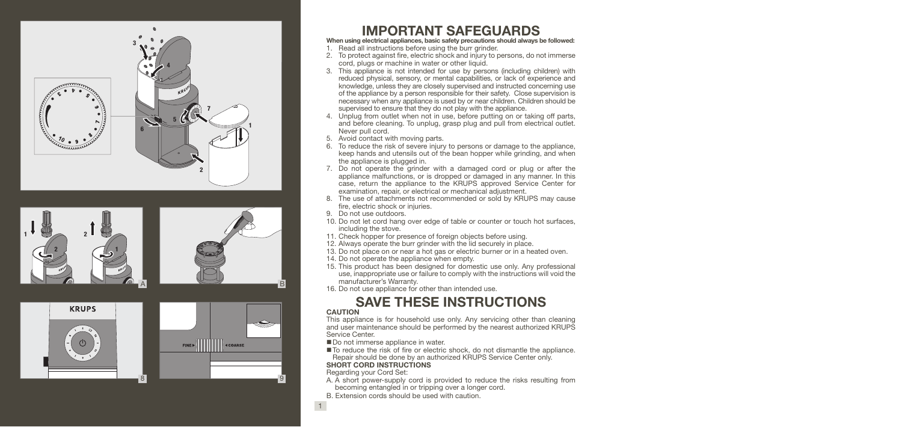

8









## IMPORTANT SAFEGUARDS

When using electrical appliances, basic safety precautions should always be followed:

- 1. Read all instructions before using the burr grinder.
- 2. To protect against fire, electric shock and injury to persons, do not immerse cord, plugs or machine in water or other liquid.
- 3. This appliance is not intended for use by persons (including children) with reduced physical, sensory, or mental capabilities, or lack of experience and knowledge, unless they are closely supervised and instructed concerning use of the appliance by a person responsible for their safety. Close supervision is necessary when any appliance is used by or near children. Children should be supervised to ensure that they do not play with the appliance.
- 4. Unplug from outlet when not in use, before putting on or taking off parts, and before cleaning. To unplug, grasp plug and pull from electrical outlet. Never pull cord.
- 5. Avoid contact with moving parts.
- 6. To reduce the risk of severe injury to persons or damage to the appliance, keep hands and utensils out of the bean hopper while grinding, and when the appliance is plugged in.
- 7. Do not operate the grinder with a damaged cord or plug or after the appliance malfunctions, or is dropped or damaged in any manner. In this case, return the appliance to the KRUPS approved Service Center for examination, repair, or electrical or mechanical adjustment.
- 8. The use of attachments not recommended or sold by KRUPS may cause fire, electric shock or injuries.
- 9. Do not use outdoors.
- 10. Do not let cord hang over edge of table or counter or touch hot surfaces, including the stove.
- 11. Check hopper for presence of foreign objects before using.
- 12. Always operate the burr grinder with the lid securely in place.
- 13. Do not place on or near a hot gas or electric burner or in a heated oven.
- 14. Do not operate the appliance when empty.
- 15. This product has been designed for domestic use only. Any professional use, inappropriate use or failure to comply with the instructions will void the manufacturer's Warranty.
- 16. Do not use appliance for other than intended use.

## SAVE THESE INSTRUCTIONS

#### **CAUTION**

This appliance is for household use only. Any servicing other than cleaning and user maintenance should be performed by the nearest authorized KRUPS Service Center.

- Do not immerse appliance in water.
- To reduce the risk of fire or electric shock, do not dismantle the appliance. Repair should be done by an authorized KRUPS Service Center only.

#### SHORT CORD INSTRUCTIONS

Regarding your Cord Set:

- A. A short power-supply cord is provided to reduce the risks resulting from becoming entangled in or tripping over a longer cord.
- B. Extension cords should be used with caution.
- 

1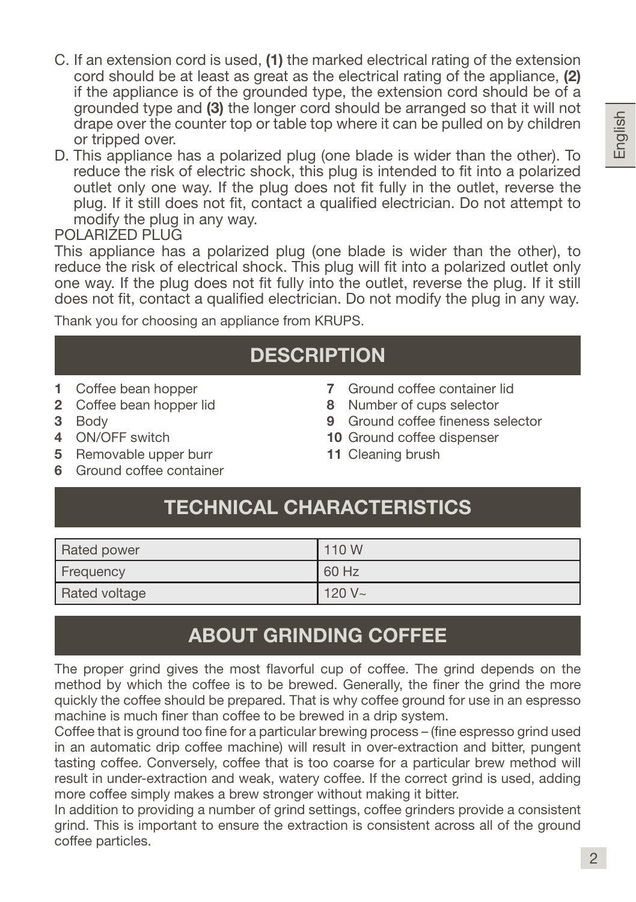- C. If an extension cord is used, (1) the marked electrical rating of the extension cord should be at least as great as the electrical rating of the appliance. (2) if the appliance is of the grounded type, the extension cord should be of a grounded type and (3) the longer cord should be arranged so that it will not drape over the counter top or table top where it can be pulled on by children or tripped over.
- D. This appliance has a polarized plug (one blade is wider than the other). To reduce the risk of electric shock, this plug is intended to fit into a polarized outlet only one way. If the plug does not fit fully in the outlet, reverse the plug. If it still does not fit, contact a qualified electrician. Do not attempt to modify the plug in any way.

#### POLARIZED PLUG

This appliance has a polarized plug (one blade is wider than the other), to reduce the risk of electrical shock. This plug will fit into a polarized outlet only one way. If the plug does not fit fully into the outlet, reverse the plug. If it still does not fit, contact a qualified electrician. Do not modify the plug in any way.

Thank you for choosing an appliance from KRUPS.

## **DESCRIPTION**

- 1 Coffee bean hopper
- 2 Coffee bean hopper lid
- 3 Body
- 4 ON/OFF switch
- 5 Removable upper burr
- 6 Ground coffee container
- 7 Ground coffee container lid
- 8 Number of cups selector
- 9 Ground coffee fineness selector
- 10 Ground coffee dispenser
- 11 Cleaning brush

## TECHNICAL CHARACTERISTICS

| <b>Rated power</b> | 110 W     |
|--------------------|-----------|
| Frequency          | 60 Hz     |
| Rated voltage      | $120 V -$ |

## ABOUT GRINDING COFFEE

The proper grind gives the most flavorful cup of coffee. The grind depends on the method by which the coffee is to be brewed. Generally, the finer the grind the more quickly the coffee should be prepared. That is why coffee ground for use in an espresso machine is much finer than coffee to be brewed in a drip system.

Coffee that is ground too fine for a particular brewing process – (fine espresso grind used in an automatic drip coffee machine) will result in over-extraction and bitter, pungent tasting coffee. Conversely, coffee that is too coarse for a particular brew method will result in under-extraction and weak, watery coffee. If the correct grind is used, adding more coffee simply makes a brew stronger without making it bitter.

In addition to providing a number of grind settings, coffee grinders provide a consistent grind. This is important to ensure the extraction is consistent across all of the ground coffee particles.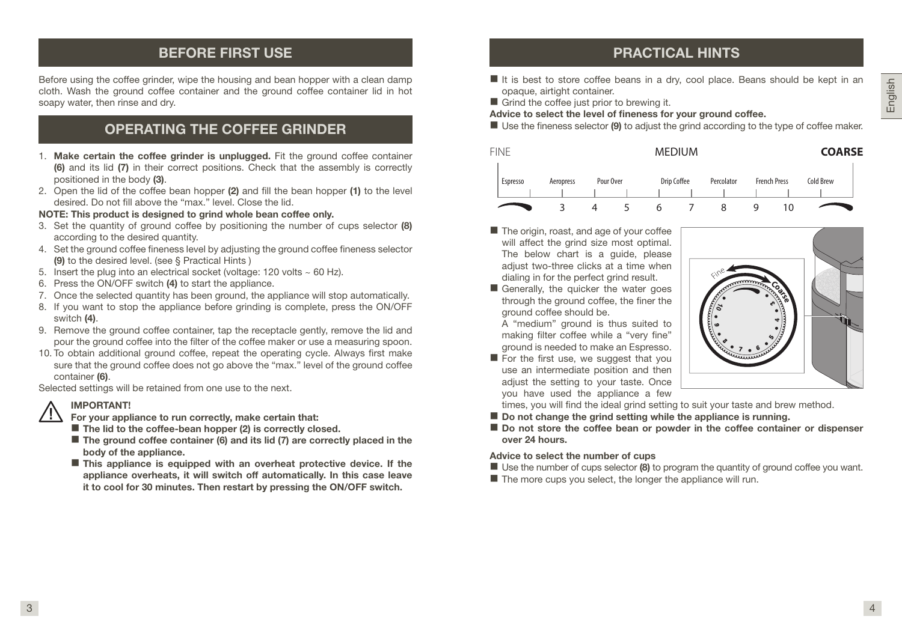## BEFORE FIRST USE

Before using the coffee grinder, wipe the housing and bean hopper with a clean damp cloth. Wash the ground coffee container and the ground coffee container lid in hot soapy water, then rinse and dry.

## OPERATING THE COFFEE GRINDER

- 1. Make certain the coffee grinder is unplugged. Fit the ground coffee container (6) and its lid (7) in their correct positions. Check that the assembly is correctly positioned in the body (3).
- 2. Open the lid of the coffee bean hopper (2) and fill the bean hopper (1) to the level desired. Do not fill above the "max." level. Close the lid.

#### NOTE: This product is designed to grind whole bean coffee only.

- 3. Set the quantity of ground coffee by positioning the number of cups selector (8) according to the desired quantity.
- 4. Set the ground coffee fineness level by adjusting the ground coffee fineness selector (9) to the desired level. (see § Practical Hints )
- 5. Insert the plug into an electrical socket (voltage: 120 volts  $\sim$  60 Hz).
- 6. Press the ON/OFF switch (4) to start the appliance.
- 7. Once the selected quantity has been ground, the appliance will stop automatically.
- 8. If you want to stop the appliance before grinding is complete, press the ON/OFF switch (4).
- 9. Remove the ground coffee container, tap the receptacle gently, remove the lid and pour the ground coffee into the filter of the coffee maker or use a measuring spoon.
- 10. To obtain additional ground coffee, repeat the operating cycle. Always first make sure that the ground coffee does not go above the "max." level of the ground coffee container (6).

Selected settings will be retained from one use to the next.

#### IMPORTANT!

- For your appliance to run correctly, make certain that:
- $\blacksquare$  The lid to the coffee-bean hopper (2) is correctly closed.
- $\blacksquare$  The ground coffee container (6) and its lid (7) are correctly placed in the body of the appliance.
- $\blacksquare$  This appliance is equipped with an overheat protective device. If the appliance overheats, it will switch off automatically. In this case leave it to cool for 30 minutes. Then restart by pressing the ON/OFF switch.

## PRACTICAL HINTS

- $\blacksquare$  It is best to store coffee beans in a dry, cool place. Beans should be kept in an opaque, airtight container.
- Grind the coffee just prior to brewing it.

Advice to select the level of fineness for your ground coffee.

 $\blacksquare$  Use the fineness selector (9) to adjust the grind according to the type of coffee maker.



- The origin, roast, and age of your coffee will affect the grind size most optimal. The below chart is a quide, please adiust two-three clicks at a time when dialing in for the perfect grind result.
- Generally, the quicker the water goes through the ground coffee, the finer the ground coffee should be.

A "medium" ground is thus suited to making filter coffee while a "very fine" ground is needed to make an Espresso.

 $\blacksquare$  For the first use, we suggest that you use an intermediate position and then adiust the setting to your taste. Once you have used the appliance a few



times, you will find the ideal grind setting to suit your taste and brew method.

- $\blacksquare$  Do not change the grind setting while the appliance is running.
- Do not store the coffee bean or powder in the coffee container or dispenser over 24 hours.

#### Advice to select the number of cups

- $\blacksquare$  Use the number of cups selector (8) to program the quantity of ground coffee you want.
- $\blacksquare$  The more cups you select, the longer the appliance will run.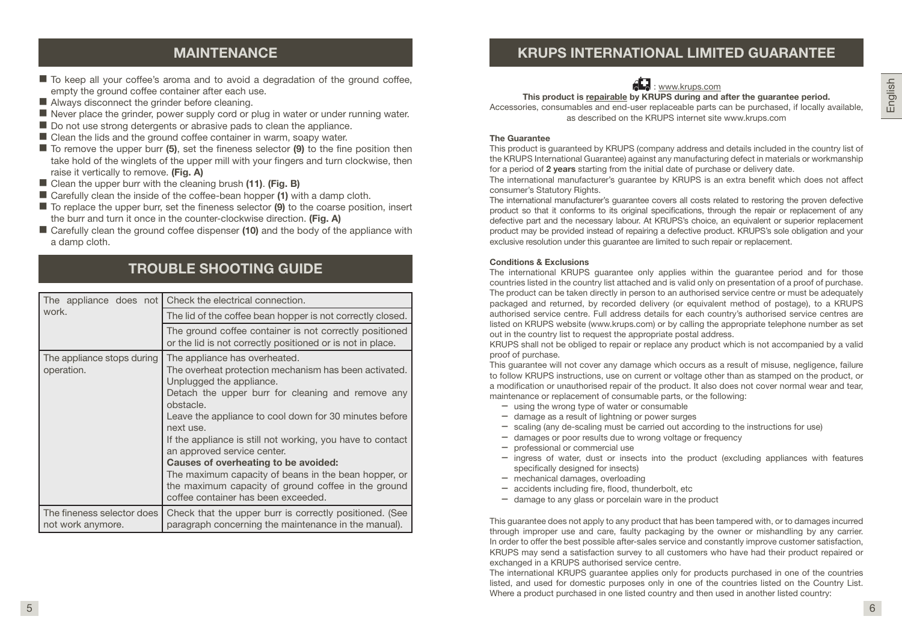## MAINTENANCE

- $\blacksquare$  To keep all your coffee's aroma and to avoid a degradation of the ground coffee, empty the ground coffee container after each use.
- Always disconnect the grinder before cleaning.
- $\blacksquare$  Never place the grinder, power supply cord or plug in water or under running water.
- Do not use strong detergents or abrasive pads to clean the appliance.
- Clean the lids and the ground coffee container in warm, soapy water.
- $\blacksquare$  To remove the upper burr (5), set the fineness selector (9) to the fine position then take hold of the winglets of the upper mill with your fingers and turn clockwise, then raise it vertically to remove. (Fig. A)
- Clean the upper burr with the cleaning brush (11). (Fig. B)
- Carefully clean the inside of the coffee-bean hopper (1) with a damp cloth.
- $\blacksquare$  To replace the upper burr, set the fineness selector (9) to the coarse position, insert the burr and turn it once in the counter-clockwise direction. (Fig. A)
- Carefully clean the ground coffee dispenser (10) and the body of the appliance with a damp cloth.

## TROUBLE SHOOTING GUIDE

| The appliance does not<br>work.                 | Check the electrical connection.                                                                                                                                                                                                                                                                                                                                                                                                                                                                                                                       |  |
|-------------------------------------------------|--------------------------------------------------------------------------------------------------------------------------------------------------------------------------------------------------------------------------------------------------------------------------------------------------------------------------------------------------------------------------------------------------------------------------------------------------------------------------------------------------------------------------------------------------------|--|
|                                                 | The lid of the coffee bean hopper is not correctly closed.                                                                                                                                                                                                                                                                                                                                                                                                                                                                                             |  |
|                                                 | The ground coffee container is not correctly positioned<br>or the lid is not correctly positioned or is not in place.                                                                                                                                                                                                                                                                                                                                                                                                                                  |  |
| The appliance stops during<br>operation.        | The appliance has overheated.<br>The overheat protection mechanism has been activated.<br>Unplugged the appliance.<br>Detach the upper burr for cleaning and remove any<br>obstacle.<br>Leave the appliance to cool down for 30 minutes before<br>next use.<br>If the appliance is still not working, you have to contact<br>an approved service center.<br>Causes of overheating to be avoided:<br>The maximum capacity of beans in the bean hopper, or<br>the maximum capacity of ground coffee in the ground<br>coffee container has been exceeded. |  |
| The fineness selector does<br>not work anymore. | Check that the upper burr is correctly positioned. (See<br>paragraph concerning the maintenance in the manual).                                                                                                                                                                                                                                                                                                                                                                                                                                        |  |

## KRUPS INTERNATIONAL LIMITED GUARANTEE



This product is repairable by KRUPS during and after the quarantee period.

Accessories, consumables and end-user replaceable parts can be purchased, if locally available, as described on the KRUPS internet site www.krups.com

#### The Guarantee

This product is guaranteed by KRUPS (company address and details included in the country list of the KRUPS International Guarantee) against any manufacturing defect in materials or workmanship for a period of 2 years starting from the initial date of purchase or delivery date.

The international manufacturer's guarantee by KRUPS is an extra benefit which does not affect consumer's Statutory Rights.

The international manufacturer's guarantee covers all costs related to restoring the proven defective product so that it conforms to its original specifications, through the repair or replacement of any defective part and the necessary labour. At KRUPS's choice, an equivalent or superior replacement product may be provided instead of repairing a defective product. KRUPS's sole obligation and your exclusive resolution under this guarantee are limited to such repair or replacement.

#### Conditions & Exclusions

The international KRUPS guarantee only applies within the guarantee period and for those countries listed in the country list attached and is valid only on presentation of a proof of purchase. The product can be taken directly in person to an authorised service centre or must be adequately packaged and returned, by recorded delivery (or equivalent method of postage), to a KRUPS authorised service centre. Full address details for each country's authorised service centres are listed on KRUPS website (www.krups.com) or by calling the appropriate telephone number as set out in the country list to request the appropriate postal address.

KRUPS shall not be obliged to repair or replace any product which is not accompanied by a valid proof of purchase.

This guarantee will not cover any damage which occurs as a result of misuse, negligence, failure to follow KRUPS instructions, use on current or voltage other than as stamped on the product, or a modification or unauthorised repair of the product. It also does not cover normal wear and tear, maintenance or replacement of consumable parts, or the following:

- using the wrong type of water or consumable
- damage as a result of lightning or power surges
- scaling (any de-scaling must be carried out according to the instructions for use)
- damages or poor results due to wrong voltage or frequency
- professional or commercial use
- ingress of water, dust or insects into the product (excluding appliances with features specifically designed for insects)
- mechanical damages, overloading
- accidents including fire, flood, thunderbolt, etc
- damage to any glass or porcelain ware in the product

This guarantee does not apply to any product that has been tampered with, or to damages incurred through improper use and care, faulty packaging by the owner or mishandling by any carrier. In order to offer the best possible after-sales service and constantly improve customer satisfaction, KRUPS may send a satisfaction survey to all customers who have had their product repaired or exchanged in a KRUPS authorised service centre.

The international KRUPS guarantee applies only for products purchased in one of the countries listed, and used for domestic purposes only in one of the countries listed on the Country List. Where a product purchased in one listed country and then used in another listed country: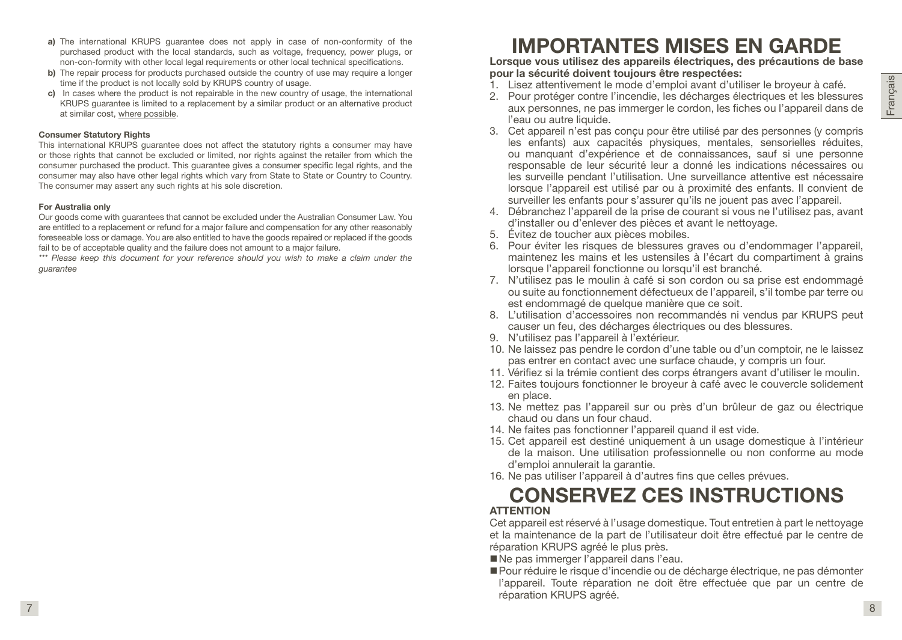- a) The international KRUPS quarantee does not apply in case of non-conformity of the purchased product with the local standards, such as voltage, frequency, power plugs, or non-con-formity with other local legal requirements or other local technical specifications.
- b) The repair process for products purchased outside the country of use may require a longer time if the product is not locally sold by KRUPS country of usage.
- c) In cases where the product is not repairable in the new country of usage, the international KRUPS guarantee is limited to a replacement by a similar product or an alternative product at similar cost, where possible.

#### Consumer Statutory Rights

This international KRUPS guarantee does not affect the statutory rights a consumer may have or those rights that cannot be excluded or limited, nor rights against the retailer from which the consumer purchased the product. This guarantee gives a consumer specific legal rights, and the consumer may also have other legal rights which vary from State to State or Country to Country. The consumer may assert any such rights at his sole discretion.

#### For Australia only

Our goods come with guarantees that cannot be excluded under the Australian Consumer Law. You are entitled to a replacement or refund for a major failure and compensation for any other reasonably foreseeable loss or damage. You are also entitled to have the goods repaired or replaced if the goods fail to be of acceptable quality and the failure does not amount to a major failure.

*\*\*\* Please keep this document for your reference should you wish to make a claim under the guarantee*

## IMPORTANTES MISES EN GARDE

Lorsque vous utilisez des appareils électriques, des précautions de base pour la sécurité doivent toujours être respectées:

- 1. Lisez attentivement le mode d'emploi avant d'utiliser le broyeur à café.
- 2. Pour protéger contre l'incendie, les décharges électriques et les blessures aux personnes, ne pas immerger le cordon, les fiches ou l'appareil dans de l'eau ou autre liquide.
- 3. Cet appareil n'est pas conçu pour être utilisé par des personnes (y compris les enfants) aux capacités physiques, mentales, sensorielles réduites, ou manquant d'expérience et de connaissances, sauf si une personne responsable de leur sécurité leur a donné les indications nécessaires ou les surveille pendant l'utilisation. Une surveillance attentive est nécessaire lorsque l'appareil est utilisé par ou à proximité des enfants. Il convient de surveiller les enfants pour s'assurer qu'ils ne jouent pas avec l'appareil.
- 4. Débranchez l'appareil de la prise de courant si vous ne l'utilisez pas, avant d'installer ou d'enlever des pièces et avant le nettoyage.
- 5. Évitez de toucher aux pièces mobiles.
- 6. Pour éviter les risques de blessures graves ou d'endommager l'appareil, maintenez les mains et les ustensiles à l'écart du compartiment à grains lorsque l'appareil fonctionne ou lorsqu'il est branché.
- 7. N'utilisez pas le moulin à café si son cordon ou sa prise est endommagé ou suite au fonctionnement défectueux de l'appareil, s'il tombe par terre ou est endommagé de quelque manière que ce soit.
- 8. L'utilisation d'accessoires non recommandés ni vendus par KRUPS peut causer un feu, des décharges électriques ou des blessures.
- 9. N'utilisez pas l'appareil à l'extérieur.
- 10. Ne laissez pas pendre le cordon d'une table ou d'un comptoir, ne le laissez pas entrer en contact avec une surface chaude, y compris un four.
- 11. Vérifiez si la trémie contient des corps étrangers avant d'utiliser le moulin.
- 12. Faites toujours fonctionner le broyeur à café avec le couvercle solidement en place.
- 13. Ne mettez pas l'appareil sur ou près d'un brûleur de gaz ou électrique chaud ou dans un four chaud.
- 14. Ne faites pas fonctionner l'appareil quand il est vide.
- 15. Cet appareil est destiné uniquement à un usage domestique à l'intérieur de la maison. Une utilisation professionnelle ou non conforme au mode d'emploi annulerait la garantie.
- 16. Ne pas utiliser l'appareil à d'autres fins que celles prévues.

## CONSERVEZ CES INSTRUCTIONS **ATTENTION**

Cet appareil est réservé à l'usage domestique. Tout entretien à part le nettoyage et la maintenance de la part de l'utilisateur doit être effectué par le centre de réparation KRUPS agréé le plus près.

- Ne pas immerger l'appareil dans l'eau.
- Pour réduire le risque d'incendie ou de décharge électrique, ne pas démonter l'appareil. Toute réparation ne doit être effectuée que par un centre de réparation KRUPS agréé.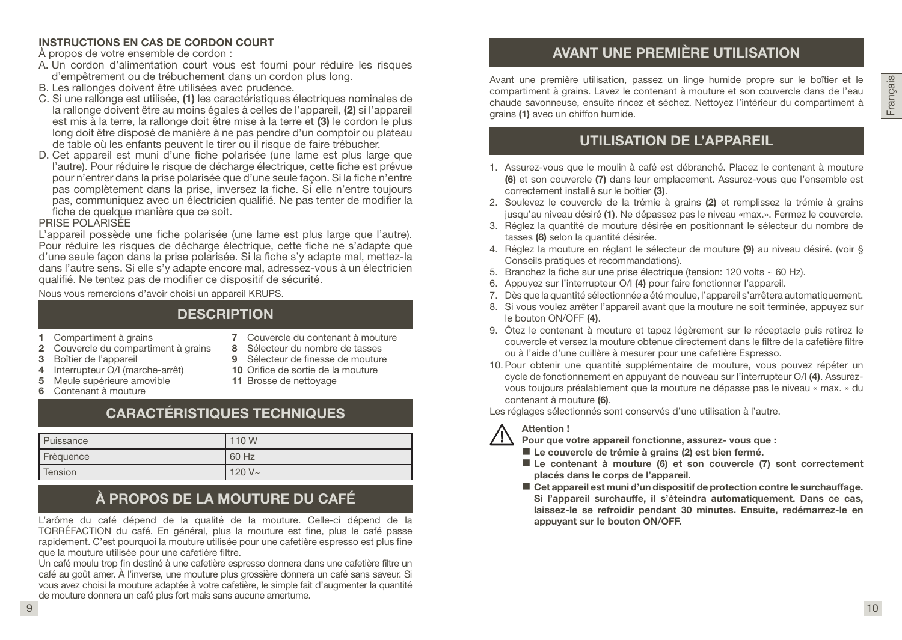#### INSTRUCTIONS EN CAS DE CORDON COURT

À propos de votre ensemble de cordon :

- A. Un cordon d'alimentation court vous est fourni pour réduire les risques d'empêtrement ou de trébuchement dans un cordon plus long.
- B. Les rallonges doivent être utilisées avec prudence.
- C. Si une rallonge est utilisée, (1) les caractéristiques électriques nominales de la rallonge doivent être au moins égales à celles de l'appareil, (2) si l'appareil est mis à la terre, la rallonge doit être mise à la terre et (3) le cordon le plus long doit être disposé de manière à ne pas pendre d'un comptoir ou plateau de table où les enfants peuvent le tirer ou il risque de faire trébucher.
- D. Cet appareil est muni d'une fiche polarisée (une lame est plus large que l'autre). Pour réduire le risque de décharge électrique, cette fiche est prévue pour n'entrer dans la prise polarisée que d'une seule façon. Si la fiche n'entre pas complètement dans la prise, inversez la fiche. Si elle n'entre toujours pas, communiquez avec un électricien qualifié. Ne pas tenter de modifier la fiche de quelque manière que ce soit.

#### PRISE POLARISÉE

L'appareil possède une fiche polarisée (une lame est plus large que l'autre). Pour réduire les risques de décharge électrique, cette fiche ne s'adapte que d'une seule façon dans la prise polarisée. Si la fiche s'y adapte mal, mettez-la dans l'autre sens. Si elle s'y adapte encore mal, adressez-vous à un électricien qualifié. Ne tentez pas de modifier ce dispositif de sécurité.

Nous vous remercions d'avoir choisi un appareil KRUPS.

## **DESCRIPTION**

- 1 Compartiment à grains
- 2 Couvercle du compartiment à grains
- 3 Boîtier de l'appareil 4 Interrupteur O/I (marche-arrêt)
- 7 Couvercle du contenant à mouture 8 Sélecteur du nombre de tasses
- 9 Sélecteur de finesse de mouture
	- 10 Orifice de sortie de la mouture
- 5 Meule supérieure amovible
- 6 Contenant à mouture
- - 11 Brosse de nettoyage

## CARACTÉRISTIQUES TECHNIQUES

| <b>Puissance</b> | 110 W     |
|------------------|-----------|
| Fréquence        | 60 Hz     |
| l Tension        | $120 V -$ |

## À PROPOS DE LA MOUTURE DU CAFÉ

L'arôme du café dépend de la qualité de la mouture. Celle-ci dépend de la TORRÉFACTION du café. En général, plus la mouture est fine, plus le café passe rapidement. C'est pourquoi la mouture utilisée pour une cafetière espresso est plus fine que la mouture utilisée pour une cafetière filtre.

Un café moulu trop fin destiné à une cafetière espresso donnera dans une cafetière filtre un café au goût amer. À l'inverse, une mouture plus grossière donnera un café sans saveur. Si vous avez choisi la mouture adaptée à votre cafetière, le simple fait d'augmenter la quantité de mouture donnera un café plus fort mais sans aucune amertume.

## AVANT UNE PREMIÈRE UTILISATION

Avant une première utilisation, passez un linge humide propre sur le boîtier et le compartiment à grains. Lavez le contenant à mouture et son couvercle dans de l'eau chaude savonneuse, ensuite rincez et séchez. Nettoyez l'intérieur du compartiment à grains (1) avec un chiffon humide.

## UTILISATION DE L'APPAREIL

- 1. Assurez-vous que le moulin à café est débranché. Placez le contenant à mouture (6) et son couvercle (7) dans leur emplacement. Assurez-vous que l'ensemble est correctement installé sur le boîtier (3).
- 2. Soulevez le couvercle de la trémie à grains (2) et remplissez la trémie à grains jusqu'au niveau désiré (1). Ne dépassez pas le niveau «max.». Fermez le couvercle.
- 3. Réglez la quantité de mouture désirée en positionnant le sélecteur du nombre de tasses (8) selon la quantité désirée.
- 4. Réglez la mouture en réglant le sélecteur de mouture (9) au niveau désiré. (voir § Conseils pratiques et recommandations).
- 5. Branchez la fiche sur une prise électrique (tension: 120 volts ~ 60 Hz).
- 6. Appuyez sur l'interrupteur O/I (4) pour faire fonctionner l'appareil.
- 7. Dès que la quantité sélectionnée a été moulue, l'appareil s'arrêtera automatiquement.
- 8. Si vous voulez arrêter l'appareil avant que la mouture ne soit terminée, appuyez sur le bouton ON/OFF (4).
- 9. Ôtez le contenant à mouture et tapez légèrement sur le réceptacle puis retirez le couvercle et versez la mouture obtenue directement dans le filtre de la cafetière filtre ou à l'aide d'une cuillère à mesurer pour une cafetière Espresso.
- 10. Pour obtenir une quantité supplémentaire de mouture, vous pouvez répéter un cycle de fonctionnement en appuyant de nouveau sur l'interrupteur O/I (4). Assurezvous toujours préalablement que la mouture ne dépasse pas le niveau « max. » du contenant à mouture (6).

Les réglages sélectionnés sont conservés d'une utilisation à l'autre.

#### Attention !

- Pour que votre appareil fonctionne, assurez- vous que :
- Le couvercle de trémie à grains (2) est bien fermé.
- Le contenant à mouture (6) et son couvercle (7) sont correctement placés dans le corps de l'appareil.
- Cet appareil est muni d'un dispositif de protection contre le surchauffage. Si l'appareil surchauffe, il s'éteindra automatiquement. Dans ce cas, laissez-le se refroidir pendant 30 minutes. Ensuite, redémarrez-le en appuyant sur le bouton ON/OFF.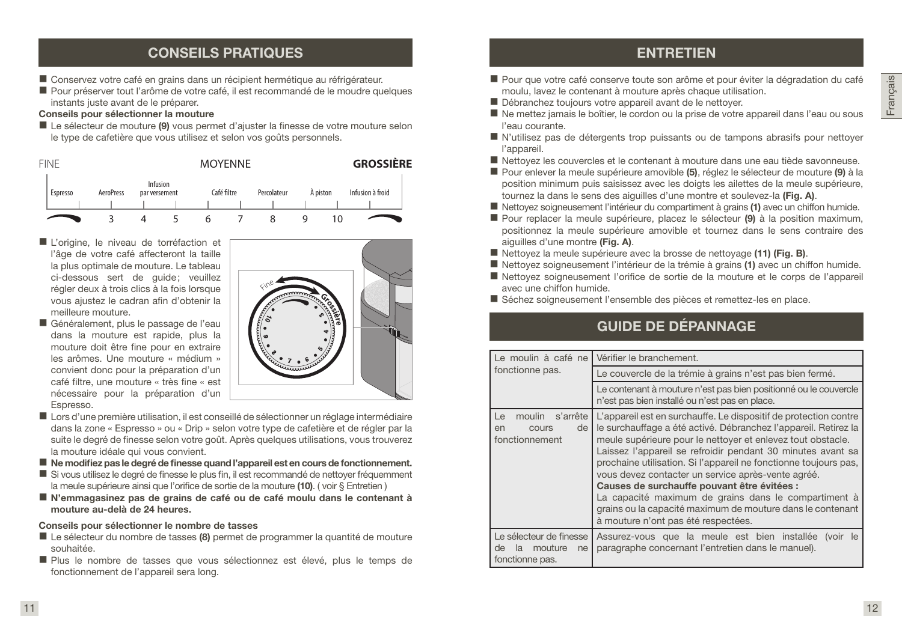## CONSEILS PRATIQUES

- Conservez votre café en grains dans un récipient hermétique au réfrigérateur.
- Pour préserver tout l'arôme de votre café, il est recommandé de le moudre quelques instants juste avant de le préparer.

#### Conseils pour sélectionner la mouture

Le sélecteur de mouture (9) vous permet d'ajuster la finesse de votre mouture selon le type de cafetière que vous utilisez et selon vos goûts personnels.



- L'origine, le niveau de torréfaction et l'âge de votre café affecteront la taille la plus optimale de mouture. Le tableau ci-dessous sert de guide; veuillez régler deux à trois clics à la fois lorsque vous ajustez le cadran afin d'obtenir la meilleure mouture.
- Généralement, plus le passage de l'eau dans la mouture est rapide, plus la mouture doit être fine pour en extraire les arômes. Une mouture « médium » convient donc pour la préparation d'un café filtre, une mouture « très fine « est nécessaire pour la préparation d'un Espresso.



- Lors d'une première utilisation, il est conseillé de sélectionner un réglage intermédiaire dans la zone « Espresso » ou « Drip » selon votre type de cafetière et de régler par la suite le degré de finesse selon votre goût. Après quelques utilisations, vous trouverez la mouture idéale qui vous convient.
- Ne modifiez pas le degré de finesse quand l'appareil est en cours de fonctionnement.
- Si vous utilisez le degré de finesse le plus fin, il est recommandé de nettoyer fréquemment la meule supérieure ainsi que l'orifice de sortie de la mouture (10). (voir § Entretien)
- N'emmagasinez pas de grains de café ou de café moulu dans le contenant à mouture au-delà de 24 heures.

#### Conseils pour sélectionner le nombre de tasses

- Le sélecteur du nombre de tasses (8) permet de programmer la quantité de mouture souhaitée.
- Plus le nombre de tasses que vous sélectionnez est élevé, plus le temps de fonctionnement de l'appareil sera long.

## **ENTRETIEN**

- Pour que votre café conserve toute son arôme et pour éviter la dégradation du café moulu, lavez le contenant à mouture après chaque utilisation.
- Débranchez toujours votre appareil avant de le nettoyer.
- Ne mettez jamais le boîtier, le cordon ou la prise de votre appareil dans l'eau ou sous l'eau courante.
- N'utilisez pas de détergents trop puissants ou de tampons abrasifs pour nettoyer l'appareil.
- Nettoyez les couvercles et le contenant à mouture dans une eau tiède savonneuse.
- Pour enlever la meule supérieure amovible (5), réglez le sélecteur de mouture (9) à la position minimum puis saisissez avec les doigts les ailettes de la meule supérieure, tournez la dans le sens des aiguilles d'une montre et soulevez-la (Fig. A).
- Nettoyez soigneusement l'intérieur du compartiment à grains (1) avec un chiffon humide.
- Pour replacer la meule supérieure, placez le sélecteur (9) à la position maximum, positionnez la meule supérieure amovible et tournez dans le sens contraire des aiguilles d'une montre (Fig. A).
- Nettoyez la meule supérieure avec la brosse de nettoyage (11) (Fig. B).
- Nettoyez soigneusement l'intérieur de la trémie à grains (1) avec un chiffon humide.
- Nettoyez soigneusement l'orifice de sortie de la mouture et le corps de l'appareil avec une chiffon humide.
- Séchez soigneusement l'ensemble des pièces et remettez-les en place.

## GUIDE DE DÉPANNAGE

| Le moulin à café ne                                                     | Vérifier le branchement.                                                                                                                                                                                                                                                                                                                                                                                                                                                                                                                                                                                |
|-------------------------------------------------------------------------|---------------------------------------------------------------------------------------------------------------------------------------------------------------------------------------------------------------------------------------------------------------------------------------------------------------------------------------------------------------------------------------------------------------------------------------------------------------------------------------------------------------------------------------------------------------------------------------------------------|
| fonctionne pas.                                                         | Le couvercle de la trémie à grains n'est pas bien fermé.                                                                                                                                                                                                                                                                                                                                                                                                                                                                                                                                                |
|                                                                         | Le contenant à mouture n'est pas bien positionné ou le couvercle<br>n'est pas bien installé ou n'est pas en place.                                                                                                                                                                                                                                                                                                                                                                                                                                                                                      |
| moulin s'arrête<br>Le<br>de<br>en<br>cours<br>fonctionnement            | L'appareil est en surchauffe. Le dispositif de protection contre<br>le surchauffage a été activé. Débranchez l'appareil. Retirez la<br>meule supérieure pour le nettoyer et enlevez tout obstacle.<br>Laissez l'appareil se refroidir pendant 30 minutes avant sa<br>prochaine utilisation. Si l'appareil ne fonctionne toujours pas,<br>vous devez contacter un service après-vente agréé.<br>Causes de surchauffe pouvant être évitées :<br>La capacité maximum de grains dans le compartiment à<br>grains ou la capacité maximum de mouture dans le contenant<br>à mouture n'ont pas été respectées. |
| Le sélecteur de finesse<br>de<br>mouture<br>ne<br>la<br>fonctionne pas. | Assurez-vous que la meule est bien installée (voir le<br>paragraphe concernant l'entretien dans le manuel).                                                                                                                                                                                                                                                                                                                                                                                                                                                                                             |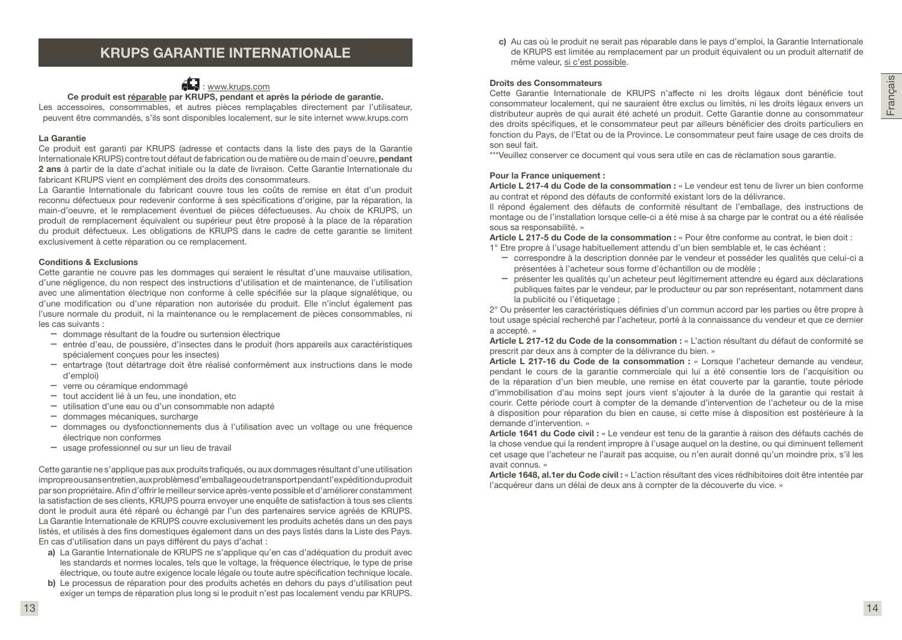## KRUPS GARANTIE INTERNATIONALE



Ce produit est réparable par KRUPS, pendant et après la période de garantie. Les accessoires, consommables, et autres pièces remplaçables directement par l'utilisateur, peuvent être commandés, s'ils sont disponibles localement, sur le site internet www.krups.com

#### La Garantie

Ce produit est garanti par KRUPS (adresse et contacts dans la liste des pays de la Garantie Internationale KRUPS) contre tout défaut de fabrication ou de matière ou de main d'oeuvre, pendant 2 ans à partir de la date d'achat initiale ou la date de livraison. Cette Garantie Internationale du fabricant KRUPS vient en complément des droits des consommateurs.

La Garantie Internationale du fabricant couvre tous les coûts de remise en état d'un produit reconnu défectueux pour redevenir conforme à ses spécifications d'origine, par la réparation, la main-d'oeuvre, et le remplacement éventuel de pièces défectueuses. Au choix de KRUPS, un produit de remplacement équivalent ou supérieur peut être proposé à la place de la réparation du produit défectueux. Les obligations de KRUPS dans le cadre de cette garantie se limitent exclusivement à cette réparation ou ce remplacement.

#### Conditions & Exclusions

Cette garantie ne couvre pas les dommages qui seraient le résultat d'une mauvaise utilisation, d'une négligence, du non respect des instructions d'utilisation et de maintenance, de l'utilisation avec une alimentation électrique non conforme à celle spécifiée sur la plaque signalétique, ou d'une modification ou d'une réparation non autorisée du produit. Elle n'inclut également pas l'usure normale du produit, ni la maintenance ou le remplacement de pièces consommables, ni les cas suivants :

- dommage résultant de la foudre ou surtension électrique
- entrée d'eau, de poussière, d'insectes dans le produit (hors appareils aux caractéristiques spécialement conçues pour les insectes)
- entartrage (tout détartrage doit être réalisé conformément aux instructions dans le mode d'emploi)
- verre ou céramique endommagé
- tout accident lié à un feu, une inondation, etc
- utilisation d'une eau ou d'un consommable non adapté
- dommages mécaniques, surcharge
- dommages ou dysfonctionnements dus à l'utilisation avec un voltage ou une fréquence électrique non conformes
- usage professionnel ou sur un lieu de travail

Cette garantie ne s'applique pas aux produits trafiqués, ou aux dommages résultant d'une utilisation impropre ou sans entretien, aux problèmes d'emballage ou de transport pendant l'expédition du produit par son propriétaire. Afin d'offrir le meilleur service après-vente possible et d'améliorer constamment la satisfaction de ses clients, KRUPS pourra envoyer une enquête de satisfaction à tous ses clients dont le produit aura été réparé ou échangé par l'un des partenaires service agréés de KRUPS. La Garantie Internationale de KRUPS couvre exclusivement les produits achetés dans un des pays listés, et utilisés à des fins domestiques également dans un des pays listés dans la Liste des Pays. En cas d'utilisation dans un pays différent du pays d'achat :

- a) La Garantie Internationale de KRUPS ne s'applique qu'en cas d'adéquation du produit avec les standards et normes locales, tels que le voltage, la fréquence électrique, le type de prise électrique, ou toute autre exigence locale légale ou toute autre spécification technique locale.
- b) Le processus de réparation pour des produits achetés en dehors du pays d'utilisation peut exiger un temps de réparation plus long si le produit n'est pas localement vendu par KRUPS.

c) Au cas où le produit ne serait pas réparable dans le pays d'emploi, la Garantie Internationale de KRUPS est limitée au remplacement par un produit équivalent ou un produit alternatif de même valeur, si c'est possible.

#### Droits des Consommateurs

Cette Garantie Internationale de KRUPS n'affecte ni les droits légaux dont bénéficie tout consommateur localement, qui ne sauraient être exclus ou limités, ni les droits légaux envers un distributeur auprès de qui aurait été acheté un produit. Cette Garantie donne au consommateur des droits spécifiques, et le consommateur peut par ailleurs bénéficier des droits particuliers en fonction du Pays, de l'Etat ou de la Province. Le consommateur peut faire usage de ces droits de son seul fait.

\*\*\*Veuillez conserver ce document qui vous sera utile en cas de réclamation sous garantie.

#### Pour la France uniquement :

Article L 217-4 du Code de la consommation : « Le vendeur est tenu de livrer un bien conforme au contrat et répond des défauts de conformité existant lors de la délivrance.

Il répond également des défauts de conformité résultant de l'emballage, des instructions de montage ou de l'installation lorsque celle-ci a été mise à sa charge par le contrat ou a été réalisée sous sa responsabilité. »

Article L 217-5 du Code de la consommation : « Pour être conforme au contrat, le bien doit :

- 1° Etre propre à l'usage habituellement attendu d'un bien semblable et, le cas échéant :
	- correspondre à la description donnée par le vendeur et posséder les qualités que celui-ci a présentées à l'acheteur sous forme d'échantillon ou de modèle ;
	- présenter les qualités qu'un acheteur peut légitimement attendre eu égard aux déclarations publiques faites par le vendeur, par le producteur ou par son représentant, notamment dans la publicité ou l'étiquetage :

2° Ou présenter les caractéristiques définies d'un commun accord par les parties ou être propre à tout usage spécial recherché par l'acheteur, porté à la connaissance du vendeur et que ce dernier a accepté. »

Article L 217-12 du Code de la consommation : « L'action résultant du défaut de conformité se prescrit par deux ans à compter de la délivrance du bien. »

Article L 217-16 du Code de la consommation : « Lorsque l'acheteur demande au vendeur, pendant le cours de la garantie commerciale qui lui a été consentie lors de l'acquisition ou de la réparation d'un bien meuble, une remise en état couverte par la garantie, toute période d'immobilisation d'au moins sept jours vient s'ajouter à la durée de la garantie qui restait à courir. Cette période court à compter de la demande d'intervention de l'acheteur ou de la mise à disposition pour réparation du bien en cause, si cette mise à disposition est postérieure à la demande d'intervention. »

Article 1641 du Code civil : « Le vendeur est tenu de la garantie à raison des défauts cachés de la chose vendue qui la rendent impropre à l'usage auquel on la destine, ou qui diminuent tellement cet usage que l'acheteur ne l'aurait pas acquise, ou n'en aurait donné qu'un moindre prix, s'il les avait connus. »

Article 1648, al.1er du Code civil : « L'action résultant des vices rédhibitoires doit être intentée par l'acquéreur dans un délai de deux ans à compter de la découverte du vice. »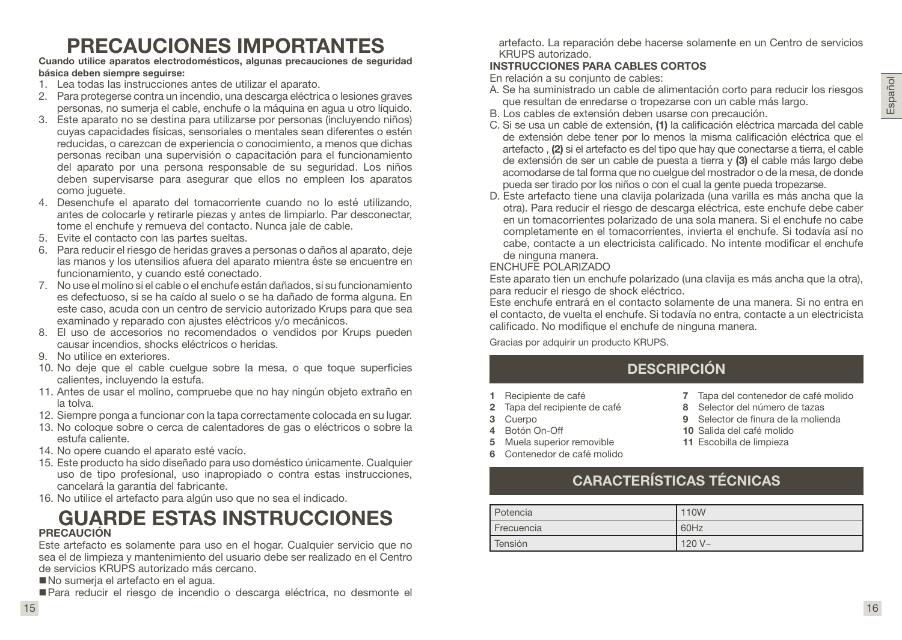## Español

## PRECAUCIONES IMPORTANTES

Cuando utilice aparatos electrodomésticos, algunas precauciones de seguridad básica deben siempre seguirse:

- 1. Lea todas las instrucciones antes de utilizar el aparato.
- 2. Para protegerse contra un incendio, una descarga eléctrica o lesiones graves personas, no sumerja el cable, enchufe o la máquina en agua u otro líquido.
- 3. Este aparato no se destina para utilizarse por personas (incluyendo niños) cuyas capacidades físicas, sensoriales o mentales sean diferentes o estén reducidas, o carezcan de experiencia o conocimiento, a menos que dichas personas reciban una supervisión o capacitación para el funcionamiento del aparato por una persona responsable de su seguridad. Los niños deben supervisarse para asegurar que ellos no empleen los aparatos como juguete.
- 4. Desenchufe el aparato del tomacorriente cuando no lo esté utilizando, antes de colocarle y retirarle piezas y antes de limpiarlo. Par desconectar, tome el enchufe y remueva del contacto. Nunca jale de cable.
- 5. Evite el contacto con las partes sueltas.
- 6. Para reducir el riesgo de heridas graves a personas o daños al aparato, deje las manos y los utensilios afuera del aparato mientra éste se encuentre en funcionamiento, y cuando esté conectado.
- 7. No use el molino si el cable o el enchufe están dañados, si su funcionamiento es defectuoso, si se ha caído al suelo o se ha dañado de forma alguna. En este caso, acuda con un centro de servicio autorizado Krups para que sea examinado y reparado con ajustes eléctricos y/o mecánicos.
- 8. El uso de accesorios no recomendados o vendidos por Krups pueden causar incendios, shocks eléctricos o heridas.
- 9. No utilice en exteriores.
- 10. No deje que el cable cuelgue sobre la mesa, o que toque superficies calientes, incluyendo la estufa.
- 11. Antes de usar el molino, compruebe que no hay ningún objeto extraño en la tolva.
- 12. Siempre ponga a funcionar con la tapa correctamente colocada en su lugar.
- 13. No coloque sobre o cerca de calentadores de gas o eléctricos o sobre la estufa caliente.
- 14. No opere cuando el aparato esté vacío.
- 15. Este producto ha sido diseñado para uso doméstico únicamente. Cualquier uso de tipo profesional, uso inapropiado o contra estas instrucciones, cancelará la garantía del fabricante.
- 16. No utilice el artefacto para algún uso que no sea el indicado.

### GUARDE ESTAS INSTRUCCIONES PRECAUCIÓN

Este artefacto es solamente para uso en el hogar. Cualquier servicio que no sea el de limpieza y mantenimiento del usuario debe ser realizado en el Centro de servicios KRUPS autorizado más cercano.

No sumerja el artefacto en el agua.

■ Para reducir el riesgo de incendio o descarga eléctrica, no desmonte el

artefacto. La reparación debe hacerse solamente en un Centro de servicios KRUPS autorizado.

#### INSTRUCCIONES PARA CABLES CORTOS

En relación a su conjunto de cables:

- A. Se ha suministrado un cable de alimentación corto para reducir los riesgos que resultan de enredarse o tropezarse con un cable más largo.
- B. Los cables de extensión deben usarse con precaución.
- C. Si se usa un cable de extensión, (1) la calificación eléctrica marcada del cable de extensión debe tener por lo menos la misma calificación eléctrica que el artefacto , (2) si el artefacto es del tipo que hay que conectarse a tierra, el cable de extensión de ser un cable de puesta a tierra y (3) el cable más largo debe acomodarse de tal forma que no cuelgue del mostrador o de la mesa, de donde pueda ser tirado por los niños o con el cual la gente pueda tropezarse.
- D. Este artefacto tiene una clavija polarizada (una varilla es más ancha que la otra). Para reducir el riesgo de descarga eléctrica, este enchufe debe caber en un tomacorrientes polarizado de una sola manera. Si el enchufe no cabe completamente en el tomacorrientes, invierta el enchufe. Si todavía así no cabe, contacte a un electricista calificado. No intente modificar el enchufe de ninguna manera.

#### ENCHUFE POLARIZADO

Este aparato tien un enchufe polarizado (una clavija es más ancha que la otra), para reducir el riesgo de shock eléctrico.

Este enchufe entrará en el contacto solamente de una manera. Si no entra en el contacto, de vuelta el enchufe. Si todavía no entra, contacte a un electricista calificado. No modifique el enchufe de ninguna manera.

Gracias por adquirir un producto KRUPS.

## DESCRIPCIÓN

- 1 Recipiente de café
- 2 Tapa del recipiente de café
- 3 Cuerpo
- 4 Botón On-Off
- 5 Muela superior removible
- 6 Contenedor de café molido
- 7 Tapa del contenedor de café molido
- 8 Selector del número de tazas
- 9 Selector de finura de la molienda
- 10 Salida del café molido
- 11 Escobilla de limpieza
- CARACTERÍSTICAS TÉCNICAS

| Potencia   | 110W      |
|------------|-----------|
| Frecuencia | 60Hz      |
| Tensión    | $120 V -$ |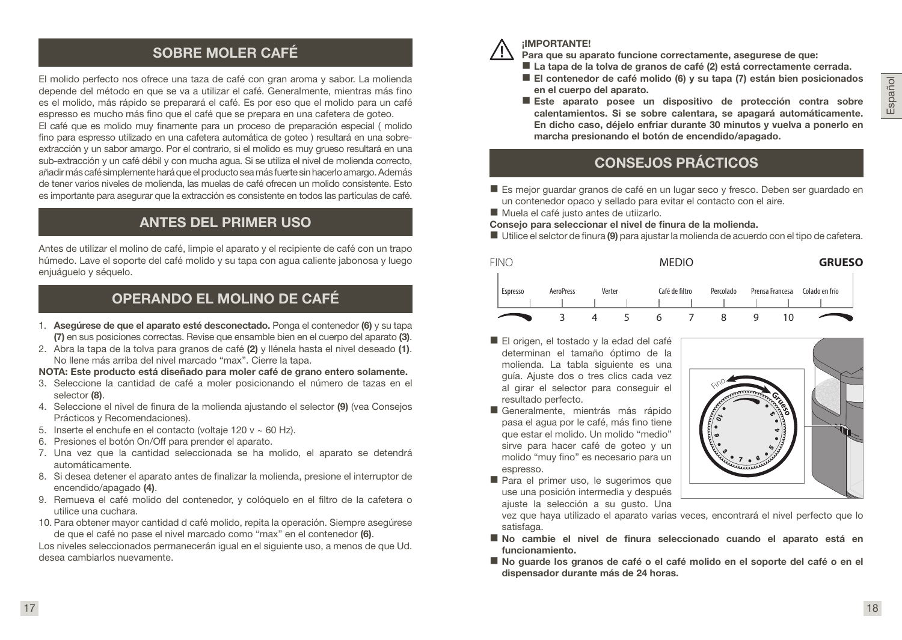## SOBRE MOLER CAFÉ

El molido perfecto nos ofrece una taza de café con gran aroma y sabor. La molienda depende del método en que se va a utilizar el café. Generalmente, mientras más fino es el molido, más rápido se preparará el café. Es por eso que el molido para un café espresso es mucho más fino que el café que se prepara en una cafetera de goteo.

El café que es molido muy finamente para un proceso de preparación especial ( molido fino para espresso utilizado en una cafetera automática de goteo ) resultará en una sobreextracción y un sabor amargo. Por el contrario, si el molido es muy grueso resultará en una sub-extracción y un café débil y con mucha agua. Si se utiliza el nivel de molienda correcto, añadir más café simplemente hará que el producto sea más fuerte sin hacerlo amargo. Además de tener varios niveles de molienda, las muelas de café ofrecen un molido consistente. Esto es importante para asegurar que la extracción es consistente en todos las partículas de café.

## ANTES DEL PRIMER USO

Antes de utilizar el molino de café, limpie el aparato y el recipiente de café con un trapo húmedo. Lave el soporte del café molido y su tapa con agua caliente jabonosa y luego enjuáguelo y séquelo.

## OPERANDO EL MOLINO DE CAFÉ

- 1. Asegúrese de que el aparato esté desconectado. Ponga el contenedor (6) y su tapa (7) en sus posiciones correctas. Revise que ensamble bien en el cuerpo del aparato (3).
- 2. Abra la tapa de la tolva para granos de café  $(2)$  y llénela hasta el nivel deseado  $(1)$ . No llene más arriba del nivel marcado "max". Cierre la tapa.
- NOTA: Este producto está diseñado para moler café de grano entero solamente.
- 3. Seleccione la cantidad de café a moler posicionando el número de tazas en el selector (8).
- 4. Seleccione el nivel de finura de la molienda ajustando el selector (9) (vea Consejos Prácticos y Recomendaciones).
- 5. Inserte el enchufe en el contacto (voltaje 120 v ~ 60 Hz).
- 6. Presiones el botón On/Off para prender el aparato.
- 7. Una vez que la cantidad seleccionada se ha molido, el aparato se detendrá automáticamente.
- 8. Si desea detener el aparato antes de finalizar la molienda, presione el interruptor de encendido/apagado (4).
- 9. Remueva el café molido del contenedor, y colóquelo en el filtro de la cafetera o utilice una cuchara.
- 10. Para obtener mayor cantidad d café molido, repita la operación. Siempre asegúrese de que el café no pase el nivel marcado como "max" en el contenedor (6).

Los niveles seleccionados permanecerán igual en el siguiente uso, a menos de que Ud. desea cambiarlos nuevamente.



#### ¡IMPORTANTE!

Para que su aparato funcione correctamente, asegurese de que:

- La tapa de la tolva de granos de café (2) está correctamente cerrada.
- El contenedor de café molido (6) y su tapa (7) están bien posicionados en el cuerpo del aparato.
- Este aparato posee un dispositivo de protección contra sobre calentamientos. Si se sobre calentara, se apagará automáticamente. En dicho caso, déjelo enfriar durante 30 minutos y vuelva a ponerlo en marcha presionando el botón de encendido/apagado.

## CONSEJOS PRÁCTICOS

- Es mejor guardar granos de café en un lugar seco y fresco. Deben ser guardado en un contenedor opaco y sellado para evitar el contacto con el aire.
- Muela el café justo antes de utijzarlo.
- Consejo para seleccionar el nivel de finura de la molienda.
- Utilice el selctor de finura (9) para ajustar la molienda de acuerdo con el tipo de cafetera.



- El origen, el tostado y la edad del café determinan el tamaño óptimo de la molienda. La tabla siguiente es una guía. Ajuste dos o tres clics cada vez al girar el selector para conseguir el resultado perfecto.
- Generalmente, mientrás más rápido pasa el agua por le café, más fino tiene que estar el molido. Un molido "medio" sirve para hacer café de goteo y un molido "muy fino" es necesario para un espresso.
- Para el primer uso, le sugerimos que use una posición intermedia y después ajuste la selección a su gusto. Una



vez que haya utilizado el aparato varias veces, encontrará el nivel perfecto que lo satisfaga.

- No cambie el nivel de finura seleccionado cuando el aparato está en funcionamiento.
- No guarde los granos de café o el café molido en el soporte del café o en el dispensador durante más de 24 horas.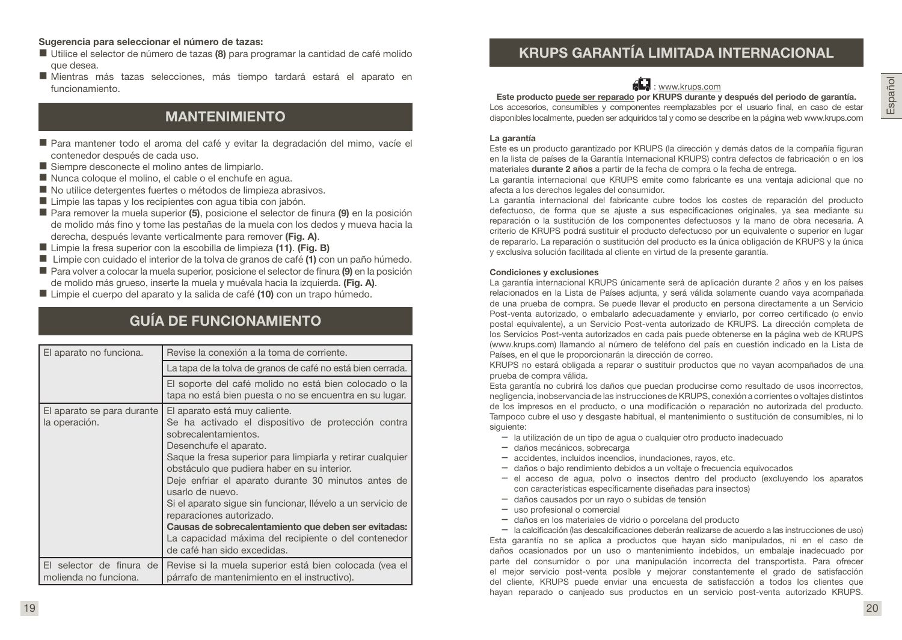#### Sugerencia para seleccionar el número de tazas:

- Utilice el selector de número de tazas (8) para programar la cantidad de café molido que desea.
- Mientras más tazas selecciones, más tiempo tardará estará el aparato en funcionamiento.

## MANTENIMIENTO

- Para mantener todo el aroma del café y evitar la degradación del mimo, vacíe el contenedor después de cada uso.
- Siempre desconecte el molino antes de limpiarlo.
- Nunca coloque el molino, el cable o el enchufe en agua.
- No utilice detergentes fuertes o métodos de limpieza abrasivos.
- Limpie las tapas y los recipientes con agua tibia con jabón.
- Para remover la muela superior (5), posicione el selector de finura (9) en la posición de molido más fino y tome las pestañas de la muela con los dedos y mueva hacia la derecha, después levante verticalmente para remover (Fig. A).
- Limpie la fresa superior con la escobilla de limpieza (11). (Fig. B)
- Limpie con cuidado el interior de la tolva de granos de café (1) con un paño húmedo.
- Para volver a colocar la muela superior, posicione el selector de finura (9) en la posición de molido más grueso, inserte la muela y muévala hacia la izquierda. (Fig. A).
- Limpie el cuerpo del aparato y la salida de café (10) con un trapo húmedo.

## GUÍA DE FUNCIONAMIENTO

| El aparato no funciona.                             | Revise la conexión a la toma de corriente.                                                                                                                                                                                                                                                                                                                                                                                                                                                                                                                             |  |
|-----------------------------------------------------|------------------------------------------------------------------------------------------------------------------------------------------------------------------------------------------------------------------------------------------------------------------------------------------------------------------------------------------------------------------------------------------------------------------------------------------------------------------------------------------------------------------------------------------------------------------------|--|
|                                                     | La tapa de la tolva de granos de café no está bien cerrada.                                                                                                                                                                                                                                                                                                                                                                                                                                                                                                            |  |
|                                                     | El soporte del café molido no está bien colocado o la<br>tapa no está bien puesta o no se encuentra en su lugar.                                                                                                                                                                                                                                                                                                                                                                                                                                                       |  |
| El aparato se para durante<br>la operación.         | El aparato está muy caliente.<br>Se ha activado el dispositivo de protección contra<br>sobrecalentamientos.<br>Desenchufe el aparato.<br>Saque la fresa superior para limpiarla y retirar cualquier<br>obstáculo que pudiera haber en su interior.<br>Deje enfriar el aparato durante 30 minutos antes de<br>usarlo de nuevo.<br>Si el aparato sigue sin funcionar, llévelo a un servicio de<br>reparaciones autorizado.<br>Causas de sobrecalentamiento que deben ser evitadas:<br>La capacidad máxima del recipiente o del contenedor<br>de café han sido excedidas. |  |
| El selector de finura de l<br>molienda no funciona. | Revise si la muela superior está bien colocada (vea el<br>párrafo de mantenimiento en el instructivo).                                                                                                                                                                                                                                                                                                                                                                                                                                                                 |  |

## KRUPS GARANTÍA LIMITADA INTERNACIONAL



Este producto puede ser reparado por KRUPS durante y después del periodo de garantía. Los accesorios, consumibles y componentes reemplazables por el usuario final, en caso de estar disponibles localmente, pueden ser adquiridos tal y como se describe en la página web www.krups.com

#### La garantía

Este es un producto garantizado por KRUPS (la dirección y demás datos de la compañía figuran en la lista de países de la Garantía Internacional KRUPS) contra defectos de fabricación o en los materiales durante 2 años a partir de la fecha de compra o la fecha de entrega.

La garantía internacional que KRUPS emite como fabricante es una ventaja adicional que no afecta a los derechos legales del consumidor.

La garantía internacional del fabricante cubre todos los costes de reparación del producto defectuoso, de forma que se ajuste a sus especificaciones originales, ya sea mediante su reparación o la sustitución de los componentes defectuosos y la mano de obra necesaria. A criterio de KRUPS podrá sustituir el producto defectuoso por un equivalente o superior en lugar de repararlo. La reparación o sustitución del producto es la única obligación de KRUPS y la única y exclusiva solución facilitada al cliente en virtud de la presente garantía.

#### Condiciones y exclusiones

La garantía internacional KRUPS únicamente será de aplicación durante 2 años y en los países relacionados en la Lista de Países adjunta, y será válida solamente cuando vaya acompañada de una prueba de compra. Se puede llevar el producto en persona directamente a un Servicio Post-venta autorizado, o embalarlo adecuadamente y enviarlo, por correo certificado (o envío postal equivalente), a un Servicio Post-venta autorizado de KRUPS. La dirección completa de los Servicios Post-venta autorizados en cada país puede obtenerse en la página web de KRUPS (www.krups.com) llamando al número de teléfono del país en cuestión indicado en la Lista de Países, en el que le proporcionarán la dirección de correo.

KRUPS no estará obligada a reparar o sustituir productos que no vayan acompañados de una prueba de compra válida.

Esta garantía no cubrirá los daños que puedan producirse como resultado de usos incorrectos, negligencia, inobservancia de las instrucciones de KRUPS, conexión a corrientes o voltajes distintos de los impresos en el producto, o una modificación o reparación no autorizada del producto. Tampoco cubre el uso y desgaste habitual, el mantenimiento o sustitución de consumibles, ni lo siguiente:

- la utilización de un tipo de agua o cualquier otro producto inadecuado
- daños mecánicos, sobrecarga
- accidentes, incluidos incendios, inundaciones, rayos, etc.
- daños o bajo rendimiento debidos a un voltaje o frecuencia equivocados
- el acceso de agua, polvo o insectos dentro del producto (excluyendo los aparatos con características específicamente diseñadas para insectos)
- daños causados por un rayo o subidas de tensión
- uso profesional o comercial
- daños en los materiales de vidrio o porcelana del producto

– la calcificación (las descalcificaciones deberán realizarse de acuerdo a las instrucciones de uso) Esta garantía no se aplica a productos que hayan sido manipulados, ni en el caso de daños ocasionados por un uso o mantenimiento indebidos, un embalaje inadecuado por parte del consumidor o por una manipulación incorrecta del transportista. Para ofrecer el mejor servicio post-venta posible y mejorar constantemente el grado de satisfacción del cliente, KRUPS puede enviar una encuesta de satisfacción a todos los clientes que hayan reparado o canjeado sus productos en un servicio post-venta autorizado KRUPS.